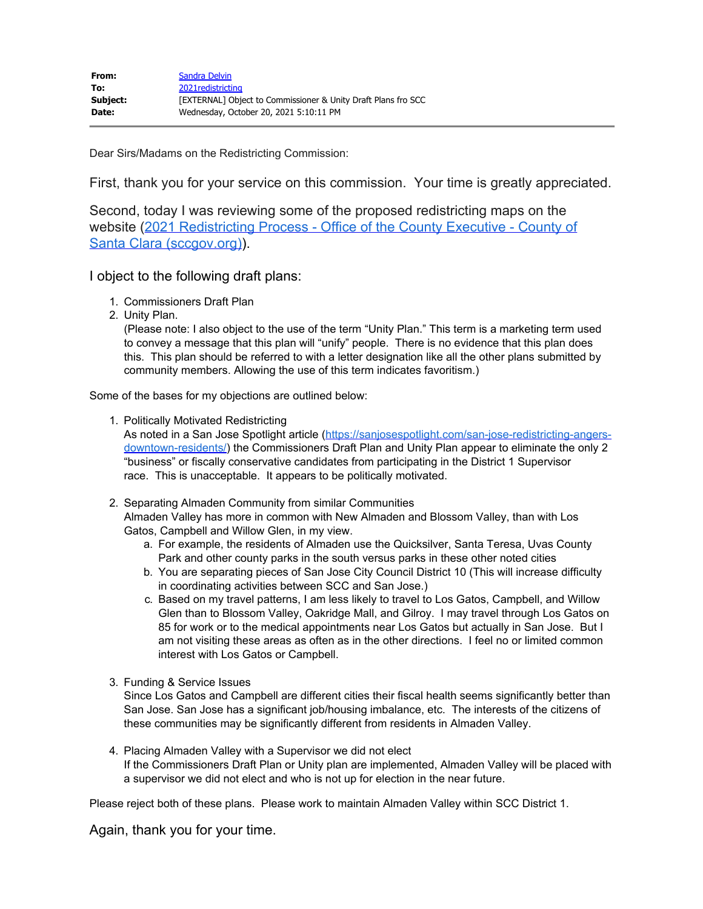Dear Sirs/Madams on the Redistricting Commission:

First, thank you for your service on this commission. Your time is greatly appreciated.

Second, today I was reviewing some of the proposed redistricting maps on the website [\(2021 Redistricting Process - Office of the County Executive - County of](https://countyexec.sccgov.org/2021-redistricting-process) [Santa Clara \(sccgov.org\)](https://countyexec.sccgov.org/2021-redistricting-process).

I object to the following draft plans:

- 1. Commissioners Draft Plan
- 2. Unity Plan.

(Please note: I also object to the use of the term "Unity Plan." This term is a marketing term used to convey a message that this plan will "unify" people. There is no evidence that this plan does this. This plan should be referred to with a letter designation like all the other plans submitted by community members. Allowing the use of this term indicates favoritism.)

Some of the bases for my objections are outlined below:

1. Politically Motivated Redistricting

As noted in a San Jose Spotlight article ([https://sanjosespotlight.com/san-jose-redistricting-angers](https://urldefense.proofpoint.com/v2/url?u=https-3A__sanjosespotlight.com_san-2Djose-2Dredistricting-2Dangers-2Ddowntown-2Dresidents_&d=DwMFaQ&c=jIuf2QGe13CVwCCNhnnHSyGX0TfHadH8sr2VwRkl7n8&r=RepaReAKE3aZP5LTtEE54B-qDmJVEpSlKtFBjKidatA&m=JeJlQ7Xkd3E3WcquDSGCo7q3ixVt6Pt7WfhFwwa73GM&s=MZCbj35g7YnfkFgx07iWE4gri48vU0afBnkv9syt3vE&e=)[downtown-residents/](https://urldefense.proofpoint.com/v2/url?u=https-3A__sanjosespotlight.com_san-2Djose-2Dredistricting-2Dangers-2Ddowntown-2Dresidents_&d=DwMFaQ&c=jIuf2QGe13CVwCCNhnnHSyGX0TfHadH8sr2VwRkl7n8&r=RepaReAKE3aZP5LTtEE54B-qDmJVEpSlKtFBjKidatA&m=JeJlQ7Xkd3E3WcquDSGCo7q3ixVt6Pt7WfhFwwa73GM&s=MZCbj35g7YnfkFgx07iWE4gri48vU0afBnkv9syt3vE&e=)) the Commissioners Draft Plan and Unity Plan appear to eliminate the only 2 "business" or fiscally conservative candidates from participating in the District 1 Supervisor race. This is unacceptable. It appears to be politically motivated.

- 2. Separating Almaden Community from similar Communities Almaden Valley has more in common with New Almaden and Blossom Valley, than with Los Gatos, Campbell and Willow Glen, in my view.
	- a. For example, the residents of Almaden use the Quicksilver, Santa Teresa, Uvas County Park and other county parks in the south versus parks in these other noted cities
	- b. You are separating pieces of San Jose City Council District 10 (This will increase difficulty in coordinating activities between SCC and San Jose.)
	- c. Based on my travel patterns, I am less likely to travel to Los Gatos, Campbell, and Willow Glen than to Blossom Valley, Oakridge Mall, and Gilroy. I may travel through Los Gatos on 85 for work or to the medical appointments near Los Gatos but actually in San Jose. But I am not visiting these areas as often as in the other directions. I feel no or limited common interest with Los Gatos or Campbell.
- 3. Funding & Service Issues

Since Los Gatos and Campbell are different cities their fiscal health seems significantly better than San Jose. San Jose has a significant job/housing imbalance, etc. The interests of the citizens of these communities may be significantly different from residents in Almaden Valley.

4. Placing Almaden Valley with a Supervisor we did not elect If the Commissioners Draft Plan or Unity plan are implemented, Almaden Valley will be placed with a supervisor we did not elect and who is not up for election in the near future.

Please reject both of these plans. Please work to maintain Almaden Valley within SCC District 1.

Again, thank you for your time.